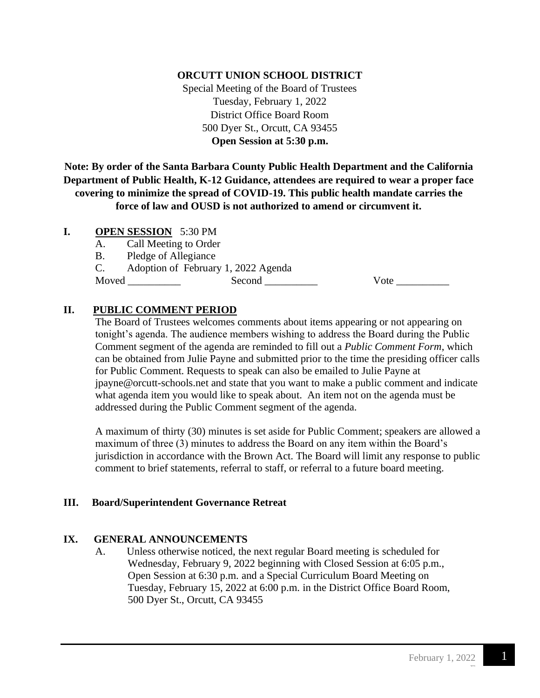## **ORCUTT UNION SCHOOL DISTRICT**

Special Meeting of the Board of Trustees Tuesday, February 1, 2022 District Office Board Room 500 Dyer St., Orcutt, CA 93455 **Open Session at 5:30 p.m.**

**Note: By order of the Santa Barbara County Public Health Department and the California Department of Public Health, K-12 Guidance, attendees are required to wear a proper face covering to minimize the spread of COVID-19. This public health mandate carries the force of law and OUSD is not authorized to amend or circumvent it.**

### **I. OPEN SESSION** 5:30 PM

A. Call Meeting to Order

B. Pledge of Allegiance

C. Adoption of February 1, 2022 Agenda

Moved \_\_\_\_\_\_\_\_\_\_ Second \_\_\_\_\_\_\_\_\_\_ Vote \_\_\_\_\_\_\_\_\_\_

# **II. PUBLIC COMMENT PERIOD**

The Board of Trustees welcomes comments about items appearing or not appearing on tonight's agenda. The audience members wishing to address the Board during the Public Comment segment of the agenda are reminded to fill out a *Public Comment Form*, which can be obtained from Julie Payne and submitted prior to the time the presiding officer calls for Public Comment. Requests to speak can also be emailed to Julie Payne at [jpayne@orcutt-schools.net](mailto:jpayne@orcutt-schools.net) and state that you want to make a public comment and indicate what agenda item you would like to speak about. An item not on the agenda must be addressed during the Public Comment segment of the agenda.

A maximum of thirty (30) minutes is set aside for Public Comment; speakers are allowed a maximum of three (3) minutes to address the Board on any item within the Board's jurisdiction in accordance with the Brown Act. The Board will limit any response to public comment to brief statements, referral to staff, or referral to a future board meeting.

#### **III. Board/Superintendent Governance Retreat**

# **IX. GENERAL ANNOUNCEMENTS**

A. Unless otherwise noticed, the next regular Board meeting is scheduled for Wednesday, February 9, 2022 beginning with Closed Session at 6:05 p.m., Open Session at 6:30 p.m. and a Special Curriculum Board Meeting on Tuesday, February 15, 2022 at 6:00 p.m. in the District Office Board Room, 500 Dyer St., Orcutt, CA 93455

F